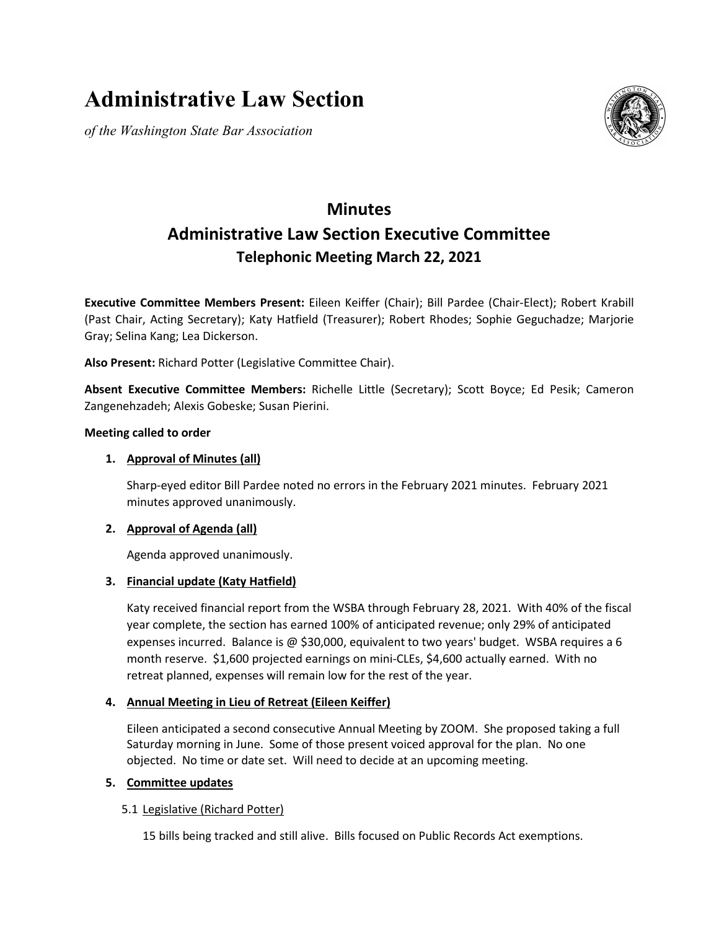# **Administrative Law Section**

*of the Washington State Bar Association*



## **Minutes Administrative Law Section Executive Committee Telephonic Meeting March 22, 2021**

**Executive Committee Members Present:** Eileen Keiffer (Chair); Bill Pardee (Chair-Elect); Robert Krabill (Past Chair, Acting Secretary); Katy Hatfield (Treasurer); Robert Rhodes; Sophie Geguchadze; Marjorie Gray; Selina Kang; Lea Dickerson.

**Also Present:** Richard Potter (Legislative Committee Chair).

**Absent Executive Committee Members:** Richelle Little (Secretary); Scott Boyce; Ed Pesik; Cameron Zangenehzadeh; Alexis Gobeske; Susan Pierini.

#### **Meeting called to order**

#### **1. Approval of Minutes (all)**

Sharp-eyed editor Bill Pardee noted no errors in the February 2021 minutes. February 2021 minutes approved unanimously.

#### **2. Approval of Agenda (all)**

Agenda approved unanimously.

#### **3. Financial update (Katy Hatfield)**

Katy received financial report from the WSBA through February 28, 2021. With 40% of the fiscal year complete, the section has earned 100% of anticipated revenue; only 29% of anticipated expenses incurred. Balance is @ \$30,000, equivalent to two years' budget. WSBA requires a 6 month reserve. \$1,600 projected earnings on mini-CLEs, \$4,600 actually earned. With no retreat planned, expenses will remain low for the rest of the year.

#### **4. Annual Meeting in Lieu of Retreat (Eileen Keiffer)**

Eileen anticipated a second consecutive Annual Meeting by ZOOM. She proposed taking a full Saturday morning in June. Some of those present voiced approval for the plan. No one objected. No time or date set. Will need to decide at an upcoming meeting.

#### **5. Committee updates**

#### 5.1 Legislative (Richard Potter)

15 bills being tracked and still alive. Bills focused on Public Records Act exemptions.